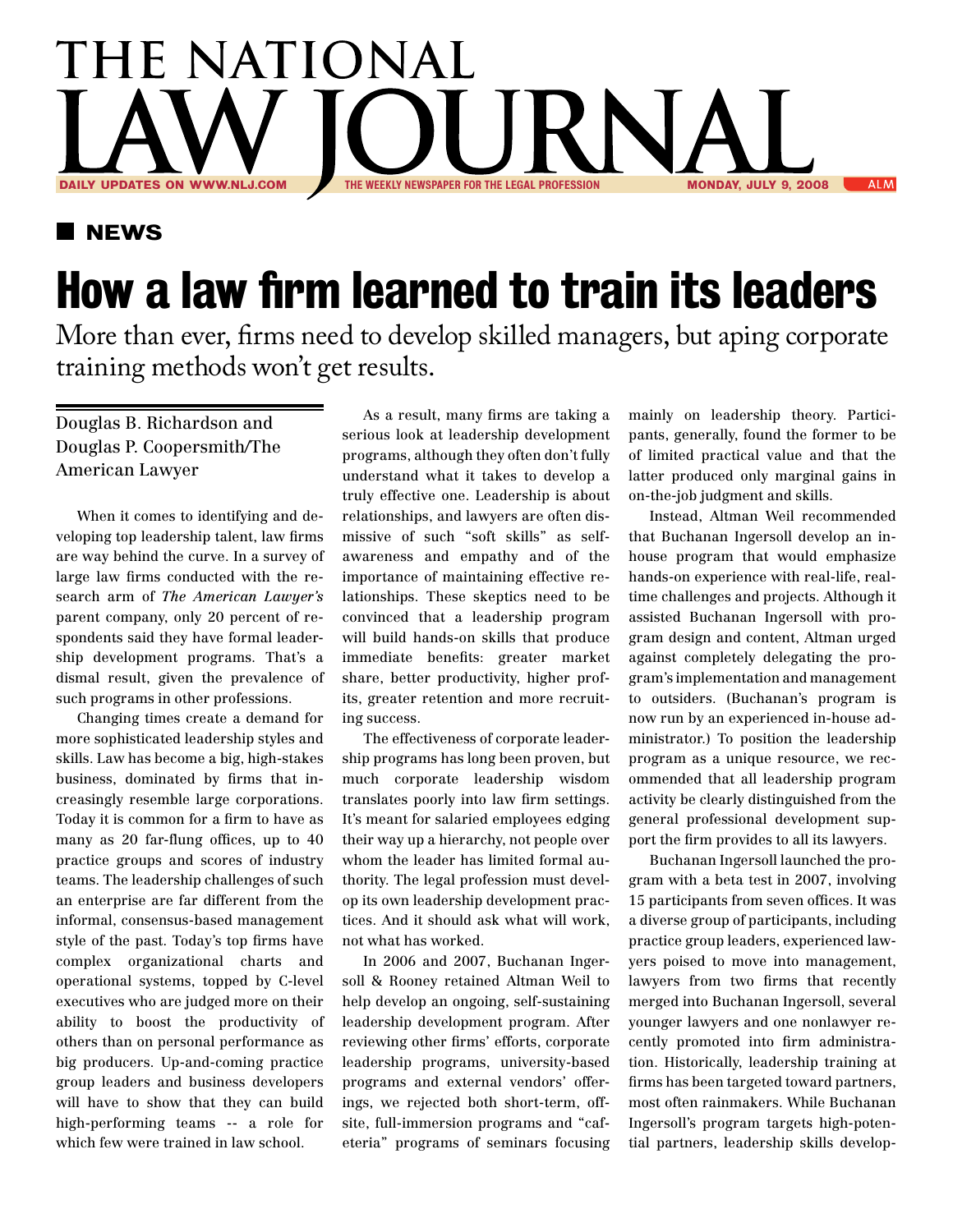## THE NATIONAL RN THE WEEKLY NEWSPAPER FOR THE LEGAL PROFESSION MONDAY, JULY 9, 2008 ALM

## **NEWS**

## **How a law firm learned to train its leaders**

More than ever, firms need to develop skilled managers, but aping corporate training methods won't get results.

## Douglas B. Richardson and Douglas P. Coopersmith/The American Lawyer

When it comes to identifying and developing top leadership talent, law firms are way behind the curve. In a survey of large law firms conducted with the research arm of *The American Lawyer's*  parent company, only 20 percent of respondents said they have formal leadership development programs. That's a dismal result, given the prevalence of such programs in other professions.

Changing times create a demand for more sophisticated leadership styles and skills. Law has become a big, high-stakes business, dominated by firms that increasingly resemble large corporations. Today it is common for a firm to have as many as 20 far-flung offices, up to 40 practice groups and scores of industry teams. The leadership challenges of such an enterprise are far different from the informal, consensus-based management style of the past. Today's top firms have complex organizational charts and operational systems, topped by C-level executives who are judged more on their ability to boost the productivity of others than on personal performance as big producers. Up-and-coming practice group leaders and business developers will have to show that they can build high-performing teams -- a role for which few were trained in law school.

As a result, many firms are taking a serious look at leadership development programs, although they often don't fully understand what it takes to develop a truly effective one. Leadership is about relationships, and lawyers are often dismissive of such "soft skills" as selfawareness and empathy and of the importance of maintaining effective relationships. These skeptics need to be convinced that a leadership program will build hands-on skills that produce immediate benefits: greater market share, better productivity, higher profits, greater retention and more recruiting success.

The effectiveness of corporate leadership programs has long been proven, but much corporate leadership wisdom translates poorly into law firm settings. It's meant for salaried employees edging their way up a hierarchy, not people over whom the leader has limited formal authority. The legal profession must develop its own leadership development practices. And it should ask what will work, not what has worked.

In 2006 and 2007, Buchanan Ingersoll & Rooney retained Altman Weil to help develop an ongoing, self-sustaining leadership development program. After reviewing other firms' efforts, corporate leadership programs, university-based programs and external vendors' offerings, we rejected both short-term, offsite, full-immersion programs and "cafeteria" programs of seminars focusing mainly on leadership theory. Participants, generally, found the former to be of limited practical value and that the latter produced only marginal gains in on-the-job judgment and skills.

Instead, Altman Weil recommended that Buchanan Ingersoll develop an inhouse program that would emphasize hands-on experience with real-life, realtime challenges and projects. Although it assisted Buchanan Ingersoll with program design and content, Altman urged against completely delegating the program's implementation and management to outsiders. (Buchanan's program is now run by an experienced in-house administrator.) To position the leadership program as a unique resource, we recommended that all leadership program activity be clearly distinguished from the general professional development support the firm provides to all its lawyers.

Buchanan Ingersoll launched the program with a beta test in 2007, involving 15 participants from seven offices. It was a diverse group of participants, including practice group leaders, experienced lawyers poised to move into management, lawyers from two firms that recently merged into Buchanan Ingersoll, several younger lawyers and one nonlawyer recently promoted into firm administration. Historically, leadership training at firms has been targeted toward partners, most often rainmakers. While Buchanan Ingersoll's program targets high-potential partners, leadership skills develop